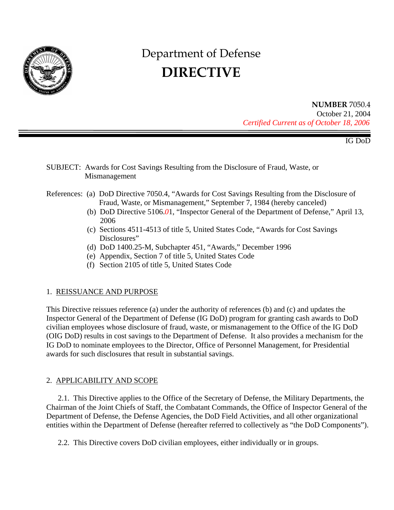

# Department of Defense **DIRECTIVE**

**NUMBER** 7050.4 October 21, 2004  *Certified Current as of October 18, 2006* 

IG DoD

- SUBJECT: Awards for Cost Savings Resulting from the Disclosure of Fraud, Waste, or Mismanagement
- References: (a) DoD Directive 7050.4, "Awards for Cost Savings Resulting from the Disclosure of Fraud, Waste, or Mismanagement," September 7, 1984 (hereby canceled)
	- (b) DoD Directive 5106.*0*1, "Inspector General of the Department of Defense," April 13, 2006
	- (c) Sections 4511-4513 of title 5, United States Code, "Awards for Cost Savings Disclosures"
	- (d) DoD 1400.25-M, Subchapter 451, "Awards," December 1996
	- (e) Appendix, Section 7 of title 5, United States Code
	- (f) Section 2105 of title 5, United States Code

# 1. REISSUANCE AND PURPOSE

This Directive reissues reference (a) under the authority of references (b) and (c) and updates the Inspector General of the Department of Defense (IG DoD) program for granting cash awards to DoD civilian employees whose disclosure of fraud, waste, or mismanagement to the Office of the IG DoD (OIG DoD) results in cost savings to the Department of Defense. It also provides a mechanism for the IG DoD to nominate employees to the Director, Office of Personnel Management, for Presidential awards for such disclosures that result in substantial savings.

# 2. APPLICABILITY AND SCOPE

2.1. This Directive applies to the Office of the Secretary of Defense, the Military Departments, the Chairman of the Joint Chiefs of Staff, the Combatant Commands, the Office of Inspector General of the Department of Defense, the Defense Agencies, the DoD Field Activities, and all other organizational entities within the Department of Defense (hereafter referred to collectively as "the DoD Components").

2.2. This Directive covers DoD civilian employees, either individually or in groups.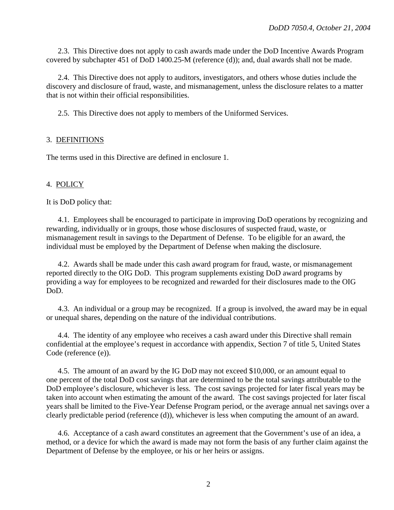2.3. This Directive does not apply to cash awards made under the DoD Incentive Awards Program covered by subchapter 451 of DoD 1400.25-M (reference (d)); and, dual awards shall not be made.

2.4. This Directive does not apply to auditors, investigators, and others whose duties include the discovery and disclosure of fraud, waste, and mismanagement, unless the disclosure relates to a matter that is not within their official responsibilities.

2.5. This Directive does not apply to members of the Uniformed Services.

# 3. DEFINITIONS

The terms used in this Directive are defined in enclosure 1.

## 4. POLICY

It is DoD policy that:

4.1. Employees shall be encouraged to participate in improving DoD operations by recognizing and rewarding, individually or in groups, those whose disclosures of suspected fraud, waste, or mismanagement result in savings to the Department of Defense. To be eligible for an award, the individual must be employed by the Department of Defense when making the disclosure.

4.2. Awards shall be made under this cash award program for fraud, waste, or mismanagement reported directly to the OIG DoD. This program supplements existing DoD award programs by providing a way for employees to be recognized and rewarded for their disclosures made to the OIG DoD.

4.3. An individual or a group may be recognized. If a group is involved, the award may be in equal or unequal shares, depending on the nature of the individual contributions.

4.4. The identity of any employee who receives a cash award under this Directive shall remain confidential at the employee's request in accordance with appendix, Section 7 of title 5, United States Code (reference (e)).

4.5. The amount of an award by the IG DoD may not exceed \$10,000, or an amount equal to one percent of the total DoD cost savings that are determined to be the total savings attributable to the DoD employee's disclosure, whichever is less. The cost savings projected for later fiscal years may be taken into account when estimating the amount of the award. The cost savings projected for later fiscal years shall be limited to the Five-Year Defense Program period, or the average annual net savings over a clearly predictable period (reference (d)), whichever is less when computing the amount of an award.

4.6. Acceptance of a cash award constitutes an agreement that the Government's use of an idea, a method, or a device for which the award is made may not form the basis of any further claim against the Department of Defense by the employee, or his or her heirs or assigns.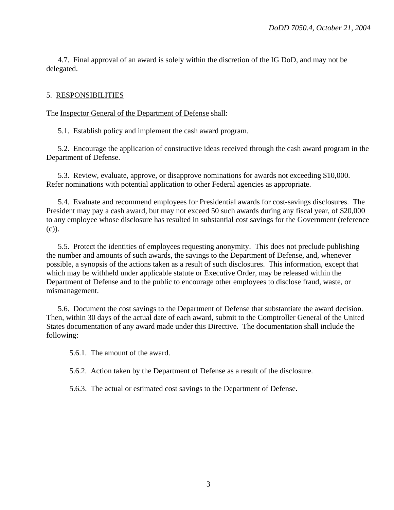4.7. Final approval of an award is solely within the discretion of the IG DoD, and may not be delegated.

## 5. RESPONSIBILITIES

The Inspector General of the Department of Defense shall:

5.1. Establish policy and implement the cash award program.

5.2. Encourage the application of constructive ideas received through the cash award program in the Department of Defense.

5.3. Review, evaluate, approve, or disapprove nominations for awards not exceeding \$10,000. Refer nominations with potential application to other Federal agencies as appropriate.

5.4. Evaluate and recommend employees for Presidential awards for cost-savings disclosures. The President may pay a cash award, but may not exceed 50 such awards during any fiscal year, of \$20,000 to any employee whose disclosure has resulted in substantial cost savings for the Government (reference (c)).

5.5. Protect the identities of employees requesting anonymity. This does not preclude publishing the number and amounts of such awards, the savings to the Department of Defense, and, whenever possible, a synopsis of the actions taken as a result of such disclosures. This information, except that which may be withheld under applicable statute or Executive Order, may be released within the Department of Defense and to the public to encourage other employees to disclose fraud, waste, or mismanagement.

5.6. Document the cost savings to the Department of Defense that substantiate the award decision. Then, within 30 days of the actual date of each award, submit to the Comptroller General of the United States documentation of any award made under this Directive. The documentation shall include the following:

5.6.1. The amount of the award.

5.6.2. Action taken by the Department of Defense as a result of the disclosure.

5.6.3. The actual or estimated cost savings to the Department of Defense.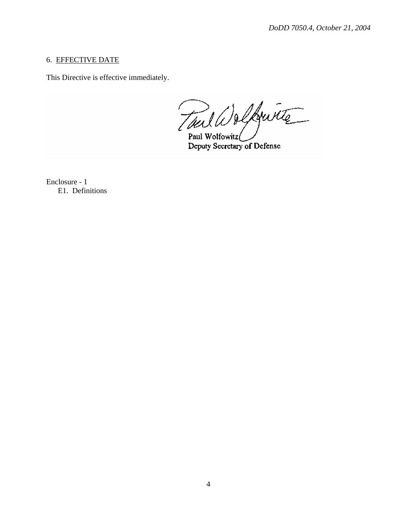# 6. EFFECTIVE DATE

This Directive is effective immediately.

Toul Walkwitte Paul Wolfowitz(

Deputy Secretary of Defense

Enclosure - 1 E1. Definitions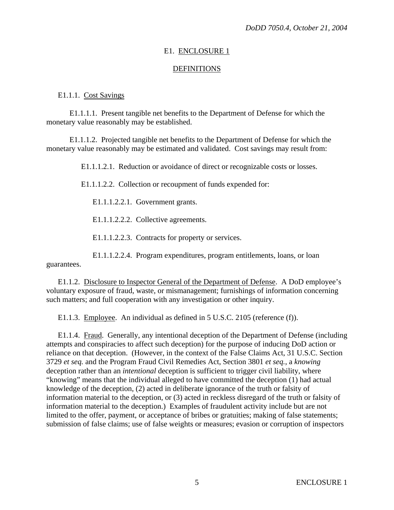### E1. ENCLOSURE 1

#### DEFINITIONS

#### E1.1.1. Cost Savings

E1.1.1.1. Present tangible net benefits to the Department of Defense for which the monetary value reasonably may be established.

E1.1.1.2. Projected tangible net benefits to the Department of Defense for which the monetary value reasonably may be estimated and validated. Cost savings may result from:

E1.1.1.2.1. Reduction or avoidance of direct or recognizable costs or losses.

E1.1.1.2.2. Collection or recoupment of funds expended for:

E1.1.1.2.2.1. Government grants.

E1.1.1.2.2.2. Collective agreements.

E1.1.1.2.2.3. Contracts for property or services.

E1.1.1.2.2.4. Program expenditures, program entitlements, loans, or loan

guarantees.

E1.1.2. Disclosure to Inspector General of the Department of Defense. A DoD employee's voluntary exposure of fraud, waste, or mismanagement; furnishings of information concerning such matters; and full cooperation with any investigation or other inquiry.

E1.1.3. Employee. An individual as defined in 5 U.S.C. 2105 (reference (f)).

E1.1.4. Fraud. Generally, any intentional deception of the Department of Defense (including attempts and conspiracies to affect such deception) for the purpose of inducing DoD action or reliance on that deception. (However, in the context of the False Claims Act, 31 U.S.C. Section 3729 *et seq.* and the Program Fraud Civil Remedies Act, Section 3801 *et seq.*, a *knowing* deception rather than an *intentional* deception is sufficient to trigger civil liability, where "knowing" means that the individual alleged to have committed the deception (1) had actual knowledge of the deception, (2) acted in deliberate ignorance of the truth or falsity of information material to the deception, or (3) acted in reckless disregard of the truth or falsity of information material to the deception.) Examples of fraudulent activity include but are not limited to the offer, payment, or acceptance of bribes or gratuities; making of false statements; submission of false claims; use of false weights or measures; evasion or corruption of inspectors